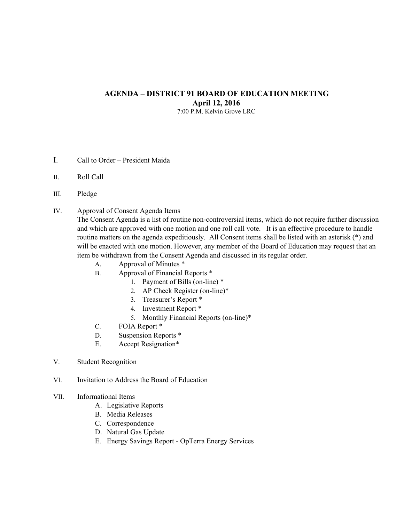## **AGENDA – DISTRICT 91 BOARD OF EDUCATION MEETING April 12, 2016**

7:00 P.M. Kelvin Grove LRC

- I. Call to Order President Maida
- II. Roll Call
- III. Pledge
- IV. Approval of Consent Agenda Items

The Consent Agenda is a list of routine non-controversial items, which do not require further discussion and which are approved with one motion and one roll call vote. It is an effective procedure to handle routine matters on the agenda expeditiously. All Consent items shall be listed with an asterisk (\*) and will be enacted with one motion. However, any member of the Board of Education may request that an item be withdrawn from the Consent Agenda and discussed in its regular order.

- A. Approval of Minutes \*
- B. Approval of Financial Reports \*
	- 1. Payment of Bills (on-line) \*
	- 2. AP Check Register (on-line)\*
	- 3. Treasurer's Report \*
	- 4. Investment Report \*
	- 5. Monthly Financial Reports (on-line)\*
- C. FOIA Report \*
- D. Suspension Reports \*
- E. Accept Resignation\*
- V. Student Recognition
- VI. Invitation to Address the Board of Education

## VII. Informational Items

- A. Legislative Reports
- B. Media Releases
- C. Correspondence
- D. Natural Gas Update
- E. Energy Savings Report OpTerra Energy Services